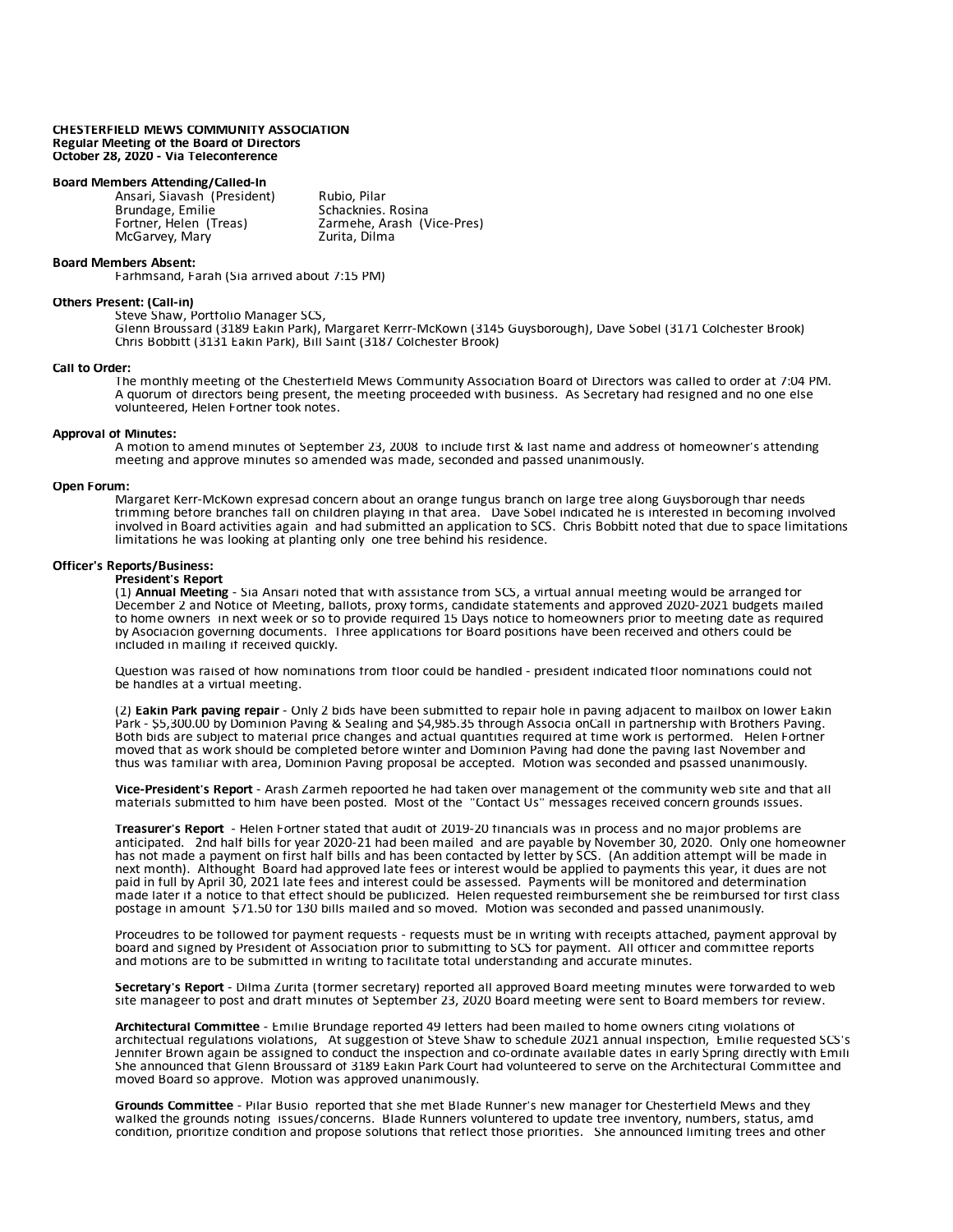### **CHESTERFIELD MEWS COMMUNITY ASSOCIATION Regular Meeting of the Board of Directors October 28, 2020 - Via Teleconference**

# **Board Members Attending/Called-In**

Ansari, Siavash (President) Rubio, Pilar<br>Brundage. Emilie Rubio, Schacknies. Rosina Brundage, Emilie<br>Fortner, Helen (Treas) McGarvey, Mary

Zarmehe, Arash (Vice-Pres)<br>Zurita, Dilma

## **Board Members Absent:**

Farhmsand, Farah (Sia arrived about 7:15 PM)

#### **Others Present: (Call-in)**

Steve Shaw, Portfolio Manager SCS, Glenn Broussard (3189 Eakin Park), Margaret Kerrr-McKown (3145 Guysborough), Dave Sobel (3171 Colchester Brook) Chris Bobbitt (3131 Eakin Park), Bill Saint (3187 Colchester Brook)

#### **Call to Order:**

The monthly meeting of the Chesterfield Mews Community Association Board of Directors was called to order at 7:04 PM. A quorum of directors being present, the meeting proceeded with business. As Secretary had resigned and no one else volunteered, Helen Fortner took notes.

### **Approval of Minutes:**

A motion to amend minutes of September 23, 2008 to include first & last name and address of homeowner's attending meeting and approve minutes so amended was made, seconded and passed unanimously.

# **Open Forum:**

Margaret Kerr-McKown expresad concern about an orange fungus branch on large tree along Guysborough thar needs trimming before branches fall on children playing in that area. Dave Sobel indicated he is interested in becoming involved involved in Board activities again and had submitted an application to SCS. Chris Bobbitt noted that due to space limitations limitations he was looking at planting only one tree behind his residence.

## **Officer's Reports/Business:**

#### **President's Report**

(1) **Annual Meeting** - Sia Ansari noted that with assistance from SCS, a virtual annual meeting would be arranged for December 2 and Notice of Meeting, ballots, proxy forms, candidate statements and approved 2020-2021 budgets mailed to home owners in next week or so to provide required 15 Days notice to homeowners prior to meeting date as required by Asociación governing documents. Three applications for Board positions have been received and others could be included in mailing if received quickly.

Question was raised of how nominations from floor could be handled - president indicated floor nominations could not be handles at a virtual meeting.

(2) Eakin Park paving repair - Only 2 bids have been submitted to repair hole in paving adjacent to mailbox on lower Eakin<br>Park - \$5,300.00 by Dominion Paving & Sealing and \$4,985.35 through Associa onCall in partnership w Both bids are subject to material price changes and actual quantities required at time work is performed. Helen Fortner moved that as work should be completed before winter and Dominion Paving had done the paving last November and thus was familiar with area, Dominion Paving proposal be accepted. Motion was seconded and psassed unanimously.

**Vice-President's Report** - Arash Zarmeh repoorted he had taken over management of the community web site and that all materials submitted to him have been posted. Most of the "Contact Us" messages received concern grounds issues.

**Treasurer's Report** - Helen Fortner stated that audit of 2019-20 financials was in process and no major problems are anticipated. 2nd half bills for year 2020-21 had been mailed and are payable by November 30, 2020. Only one homeowner has not made a payment on first half bills and has been contacted by letter by SCS. (An addition attempt will be made in next month). Althought Board had approved late fees or interest would be applied to payments this year, it dues are not paid in full by April 30, 2021 late fees and interest could be assessed. Payments will be monitored and determination made later if a notice to that effect should be publicized. Helen requested reimbursement she be reimbursed for first class postage in amount \$71.50 for 130 bills mailed and so moved. Motion was seconded and passed unanimously.

Proceudres to be followed for payment requests - requests must be in writing with receipts attached, payment approval by board and signed by President of Association prior to submitting to SCS for payment. All officer and committee reports and motions are to be submitted in writing to facilitate total understanding and accurate minutes.

**Secretary's Report** - Dilma Zurita (former secretary) reported all approved Board meeting minutes were forwarded to web site manageer to post and draft minutes of September 23, 2020 Board meeting were sent to Board members for review.

**Architectural Committee** - Emilie Brundage reported 49 letters had been mailed to home owners citing violations of architectual regulations violations, At suggestion of Steve Shaw to schedule 2021 annual inspection, Emilie requested SCS's Jennifer Brown again be assigned to conduct the inspection and co-ordinate available dates in early Spring directly with Emili She announced that Glenn Broussard of 3189 Eakin Park Court had volunteered to serve on the Architectural Committee and moved Board so approve. Motion was approved unanimously.

**Grounds Committee** - Pilar Busio reported that she met Blade Runner's new manager for Chesterfield Mews and they walked the grounds noting issues/concerns. Blade Runners voluntered to update tree inventory, numbers, status, amd condition, prioritize condition and propose solutions that reflect those priorities. She announced limiting trees and other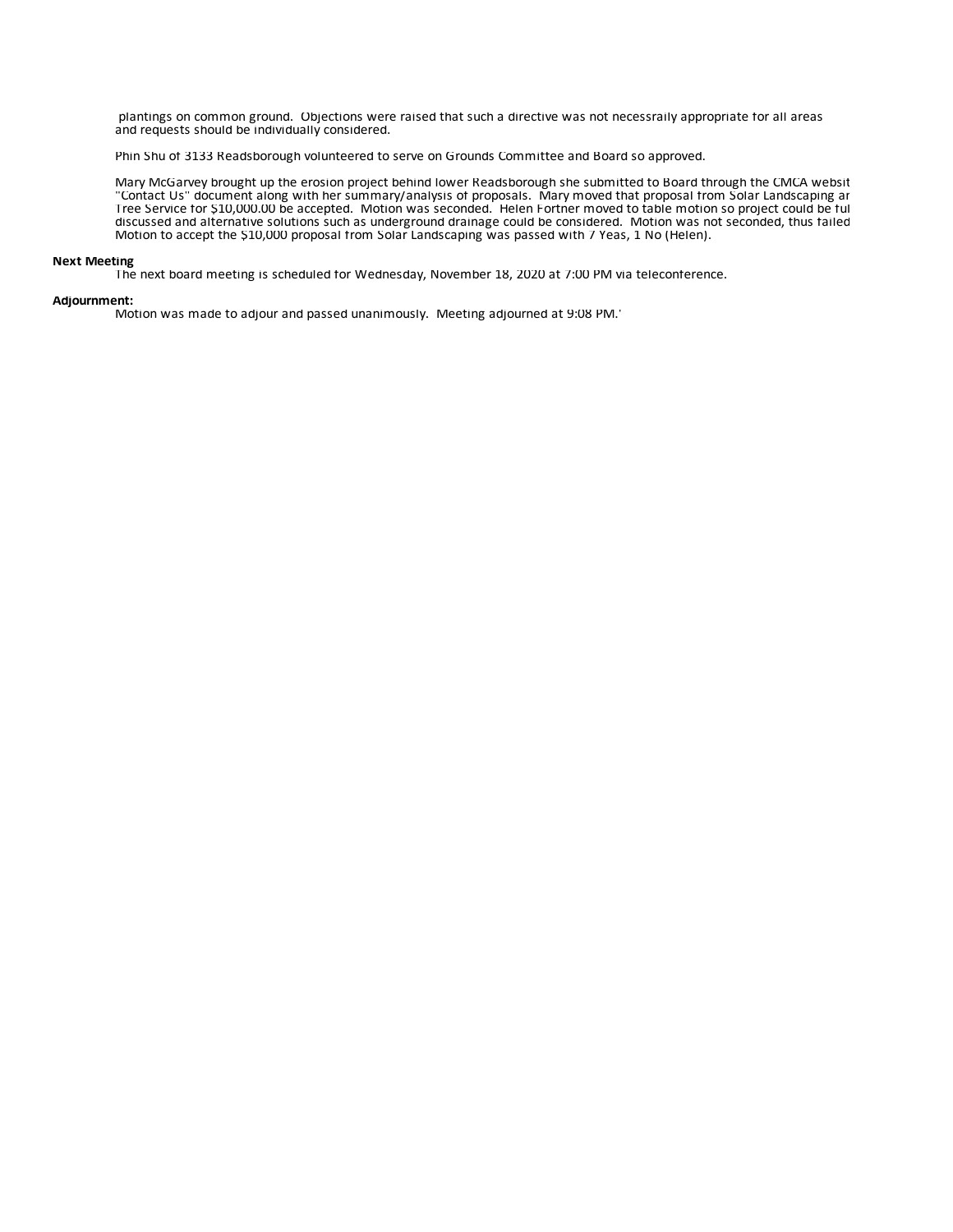plantings on common ground. Objections were raised that such a directive was not necessraily appropriate for all areas and requests should be individually considered.

Phin Shu of 3133 Readsborough volunteered to serve on Grounds Committee and Board so approved.

Mary McGarvey brought up the erosion project behind lower Readsborough she submitted to Board through the CMCA website "Contact Us" document along with her summary/analysis of proposals. Mary moved that proposal from Solar Landscaping ar Tree Service for \$10,000.00 be accepted. Motion was seconded. Helen Fortner moved to table motion so project could be ful discussed and alternative solutions such as underground drainage could be considered. Motion was not seconded, thus failed. Motion to accept the \$10,000 proposal from Solar Landscaping was passed with 7 Yeas, 1 No (Helen).

# **Next Meeting**

The next board meeting is scheduled for Wednesday, November 18, 2020 at 7:00 PM via teleconference.

## **Adjournment:**

Motion was made to adjour and passed unanimously. Meeting adjourned at 9:08 PM.'